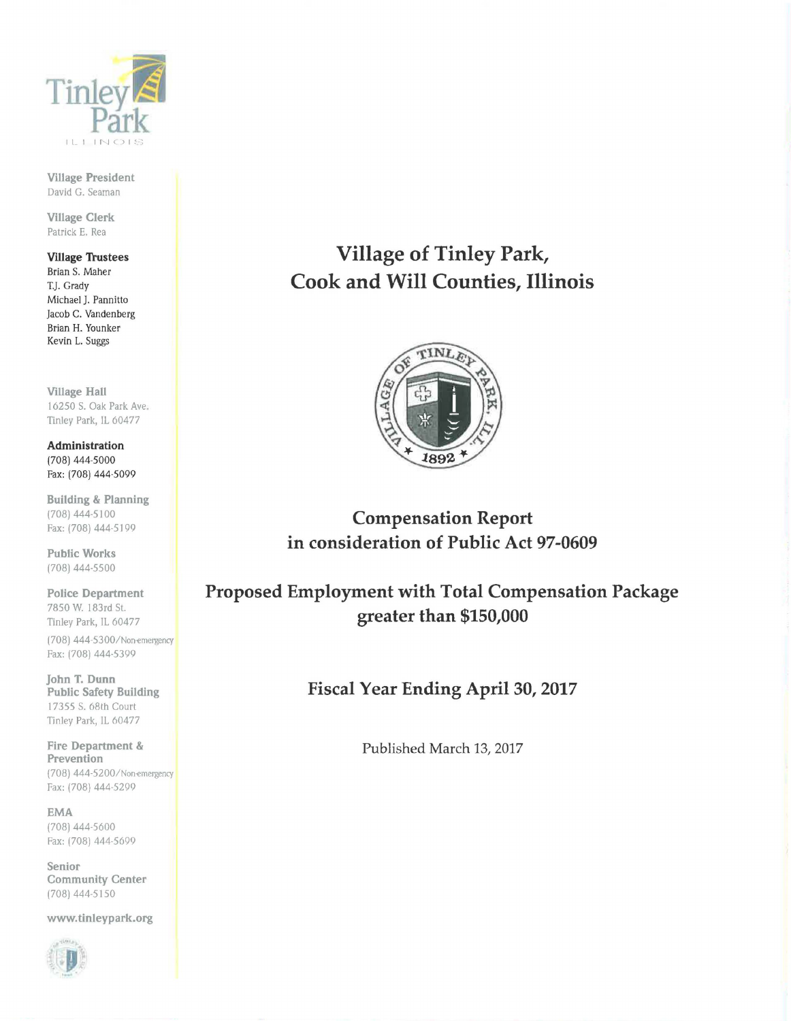

Village President David G. Seaman

Village Clerk Patrick E. Rea

#### Village Trustees Brian S. Maher

T.J. Grady Michael J. Pannitto Jacob C. Vandenberg Brian H. Younker Kevin L. Suggs

Village Hall 16250 S. Oak Park Ave Tinley Park, IL 60477

Administration (708) 444-5000 Fax: (708) 444-5099

Building & Planning (708) 444-5 I 00 Fax: (708) 444-5199

Public Works (708) 444-5500

Police Department 7850 W. 183rd St. Tinley Park, IL 60477 (708) 444-5300/Non-emergency Fax: (708) 444-5399

John T. Dunn Public Safety Building 17355 S. 68th Court Tinley Park, IL 60477

Fire Department & Prevention (708) 444-5200/Non-emergency Fax: (708) 444-5299

EMA (708) 444-5600 Fax: (708) 444-5699

Senior Community Center (708) 444-5150

www.tinleypark.org



# Village of Tinley Park, Cook and Will Counties, Illinois



Compensation Report in consideration of Public Act 97-0609

Proposed Employment with Total Compensation Package greater than \$150,000

Fiscal Year Ending April 30, 2017

Published March 13, 2017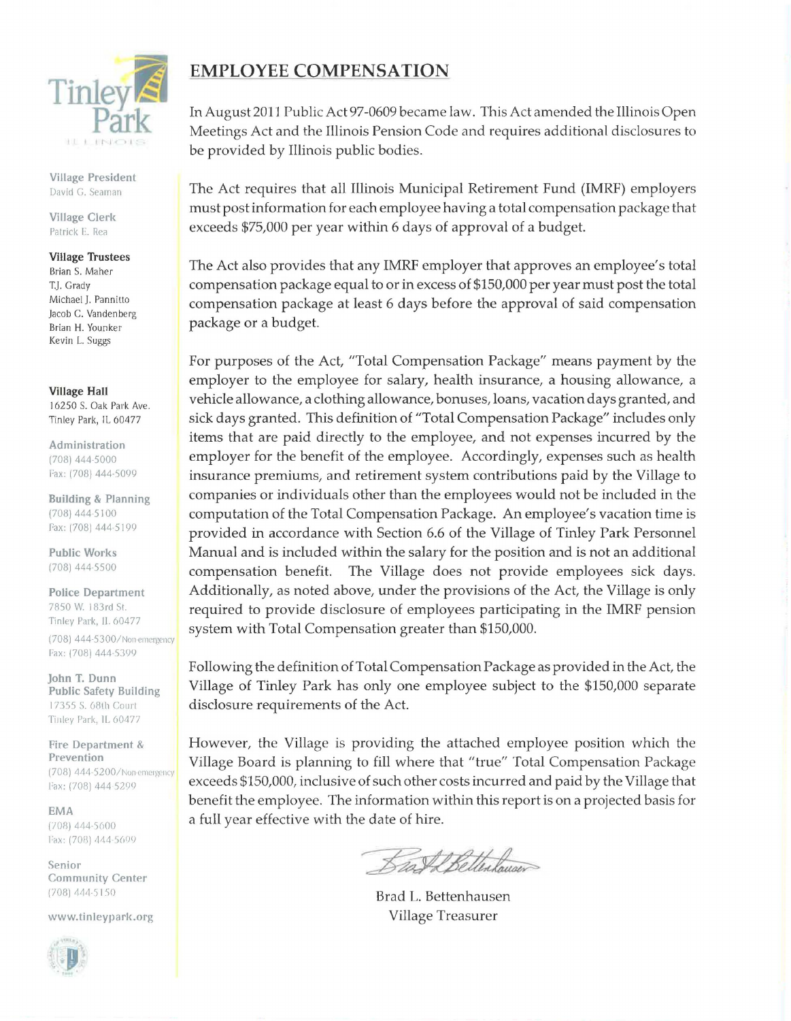

Village President David G. Seaman

Village Clerk Patrick E. Rea

#### Village Trustees

Brian S. Maher T.J. Grady Michael J. Pannitto Jacob C. Vandenberg Brian H. Younker Kevin L. Suggs

Village Hall

I 6250 S. Oak Park Ave. Tinley Park, IL 60477

Administration (708) 444-5000 Fax: (708) 444-5099

Building & Planning (708) 444 5100 Fax: (708) 444-5199

Public Works (708) 444-5500

Police Department 7850 W. I 83rd St. Tinley Park, IL 60477 (708) 444-5300/Non-emergency Fax: (708) 444-5399

john T. Dunn Public Safety Building 17355 S. 68th Court Tinley Park, IL 60477

Fire Department & Prevention (708) 444-5200/Non-emergency Fax: (708) 444 5299

EMA  $(708)$  444-5600 l'ax: (708) 444-5699

Senior Community Center (708) 444-5150

www.tinleypark.org



## **EMPLOYEE COMPENSATION**

In August 2011 Public Act 97-0609 became law. This Act amended the Illinois Open Meetings Act and the Illinois Pension Code and requires additional disclosures to be provided by Illinois public bodies.

The Act requires that all Illinois Municipal Retirement Fund (IMRF) employers must post information for each employee having a total compensation package that exceeds \$75,000 per year within 6 days of approval of a budget.

The Act also provides that any IMRF employer that approves an employee's total compensation package equal to or in excess of \$150,000 per year must post the total compensation package at least 6 days before the approval of said compensation package or a budget.

For purposes of the Act, "Total Compensation Package" means payment by the employer to the employee for salary, health insurance, a housing allowance, a vehicle allowance, a clothing allowance, bonuses, loans, vacation days granted, and sick days granted. This definition of "Total Compensation Package" includes only items that are paid directly to the employee, and not expenses incurred by the employer for the benefit of the employee. Accordingly, expenses such as health insurance premiums, and retirement system contributions paid by the Village to companies or individuals other than the employees would not be included in the computation of the Total Compensation Package. An employee's vacation time is provided in accordance with Section 6.6 of the Village of Tinley Park Personnel Manual and is included within the salary for the position and is not an additional compensation benefit. The Village does not provide employees sick days. Additionally, as noted above, under the provisions of the Act, the Village is only required to provide disclosure of employees participating in the IMRF pension system with Total Compensation greater than \$150,000.

Following the definition of Total Compensation Package as provided in the Act, the Village of Tinley Park has only one employee subject to the \$150,000 separate disclosure requirements of the Act.

However, the Village is providing the attached employee position which the Village Board is planning to fill where that "true" Total Compensation Package exceeds \$150,000, inclusive of such other costs incurred and paid by the Village that benefit the employee. The information within this report is on a projected basis for a full year effective with the date of hire.

BestBellerlauser

Brad L. Bettenhausen Village Treasurer